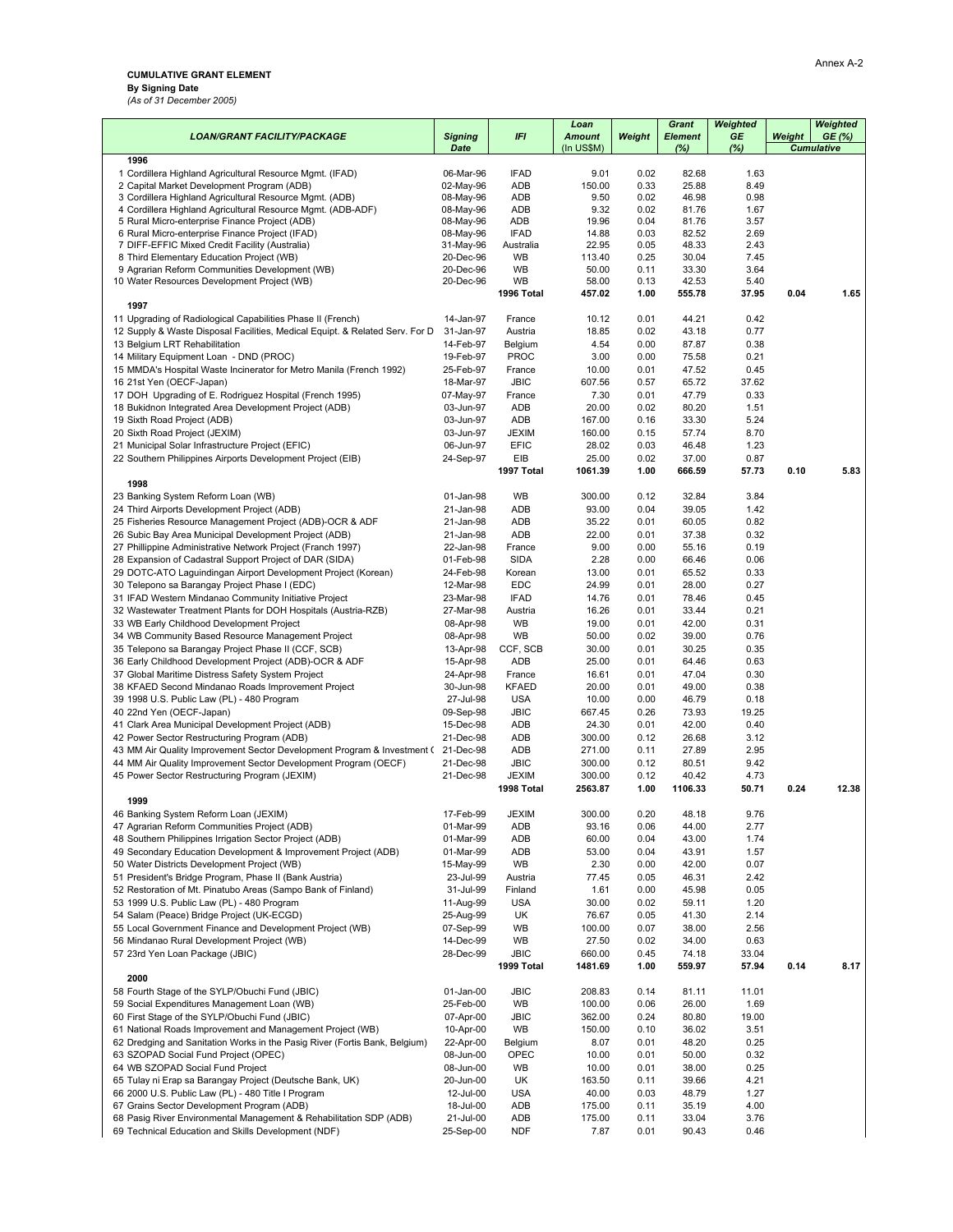## **CUMULATIVE GRANT ELEMENT**

**By Signing Date**

*(As of 31 December 2005)*

|                                                                                                                          |                        |                             | Loan                        |              | <b>Grant</b>          | Weighted     |        | Weighted                   |
|--------------------------------------------------------------------------------------------------------------------------|------------------------|-----------------------------|-----------------------------|--------------|-----------------------|--------------|--------|----------------------------|
| <b>LOAN/GRANT FACILITY/PACKAGE</b>                                                                                       | <b>Signing</b><br>Date | IFI                         | <b>Amount</b><br>(In US\$M) | Weight       | <b>Element</b><br>(%) | GE<br>(%)    | Weight | GE(%)<br><b>Cumulative</b> |
| 1996                                                                                                                     |                        |                             |                             |              |                       |              |        |                            |
| 1 Cordillera Highland Agricultural Resource Mgmt. (IFAD)                                                                 | 06-Mar-96              | <b>IFAD</b>                 | 9.01                        | 0.02         | 82.68                 | 1.63         |        |                            |
| 2 Capital Market Development Program (ADB)                                                                               | 02-May-96              | ADB                         | 150.00                      | 0.33         | 25.88                 | 8.49         |        |                            |
| 3 Cordillera Highland Agricultural Resource Mgmt. (ADB)<br>4 Cordillera Highland Agricultural Resource Mgmt. (ADB-ADF)   | 08-May-96<br>08-May-96 | ADB<br>ADB                  | 9.50<br>9.32                | 0.02<br>0.02 | 46.98<br>81.76        | 0.98<br>1.67 |        |                            |
| 5 Rural Micro-enterprise Finance Project (ADB)                                                                           | 08-May-96              | ADB                         | 19.96                       | 0.04         | 81.76                 | 3.57         |        |                            |
| 6 Rural Micro-enterprise Finance Project (IFAD)                                                                          | 08-May-96              | <b>IFAD</b>                 | 14.88                       | 0.03         | 82.52                 | 2.69         |        |                            |
| 7 DIFF-EFFIC Mixed Credit Facility (Australia)                                                                           | 31-May-96              | Australia                   | 22.95                       | 0.05         | 48.33                 | 2.43         |        |                            |
| 8 Third Elementary Education Project (WB)<br>9 Agrarian Reform Communities Development (WB)                              | 20-Dec-96<br>20-Dec-96 | WB<br>WB                    | 113.40<br>50.00             | 0.25<br>0.11 | 30.04<br>33.30        | 7.45<br>3.64 |        |                            |
| 10 Water Resources Development Project (WB)                                                                              | 20-Dec-96              | WB                          | 58.00                       | 0.13         | 42.53                 | 5.40         |        |                            |
|                                                                                                                          |                        | 1996 Total                  | 457.02                      | 1.00         | 555.78                | 37.95        | 0.04   | 1.65                       |
| 1997                                                                                                                     |                        |                             |                             |              |                       |              |        |                            |
| 11 Upgrading of Radiological Capabilities Phase II (French)                                                              | 14-Jan-97              | France                      | 10.12                       | 0.01         | 44.21                 | 0.42         |        |                            |
| 12 Supply & Waste Disposal Facilities, Medical Equipt. & Related Serv. For D<br>13 Belgium LRT Rehabilitation            | 31-Jan-97<br>14-Feb-97 | Austria<br>Belgium          | 18.85<br>4.54               | 0.02<br>0.00 | 43.18<br>87.87        | 0.77<br>0.38 |        |                            |
| 14 Military Equipment Loan - DND (PROC)                                                                                  | 19-Feb-97              | <b>PROC</b>                 | 3.00                        | 0.00         | 75.58                 | 0.21         |        |                            |
| 15 MMDA's Hospital Waste Incinerator for Metro Manila (French 1992)                                                      | 25-Feb-97              | France                      | 10.00                       | 0.01         | 47.52                 | 0.45         |        |                            |
| 16 21st Yen (OECF-Japan)                                                                                                 | 18-Mar-97              | <b>JBIC</b>                 | 607.56                      | 0.57         | 65.72                 | 37.62        |        |                            |
| 17 DOH Upgrading of E. Rodriguez Hospital (French 1995)                                                                  | 07-May-97              | France                      | 7.30                        | 0.01         | 47.79                 | 0.33         |        |                            |
| 18 Bukidnon Integrated Area Development Project (ADB)                                                                    | 03-Jun-97              | ADB                         | 20.00                       | 0.02         | 80.20                 | 1.51         |        |                            |
| 19 Sixth Road Project (ADB)                                                                                              | 03-Jun-97              | ADB                         | 167.00                      | 0.16         | 33.30                 | 5.24         |        |                            |
| 20 Sixth Road Project (JEXIM)                                                                                            | 03-Jun-97              | <b>JEXIM</b>                | 160.00                      | 0.15         | 57.74                 | 8.70         |        |                            |
| 21 Municipal Solar Infrastructure Project (EFIC)                                                                         | 06-Jun-97<br>24-Sep-97 | <b>EFIC</b><br>EIB          | 28.02<br>25.00              | 0.03<br>0.02 | 46.48<br>37.00        | 1.23<br>0.87 |        |                            |
| 22 Southern Philippines Airports Development Project (EIB)                                                               |                        | 1997 Total                  | 1061.39                     | 1.00         | 666.59                | 57.73        | 0.10   | 5.83                       |
| 1998                                                                                                                     |                        |                             |                             |              |                       |              |        |                            |
| 23 Banking System Reform Loan (WB)                                                                                       | 01-Jan-98              | <b>WB</b>                   | 300.00                      | 0.12         | 32.84                 | 3.84         |        |                            |
| 24 Third Airports Development Project (ADB)                                                                              | 21-Jan-98              | ADB                         | 93.00                       | 0.04         | 39.05                 | 1.42         |        |                            |
| 25 Fisheries Resource Management Project (ADB)-OCR & ADF                                                                 | 21-Jan-98              | ADB                         | 35.22                       | 0.01         | 60.05                 | 0.82         |        |                            |
| 26 Subic Bay Area Municipal Development Project (ADB)                                                                    | 21-Jan-98              | ADB                         | 22.00                       | 0.01         | 37.38                 | 0.32         |        |                            |
| 27 Phillippine Administrative Network Project (Franch 1997)                                                              | 22-Jan-98              | France<br><b>SIDA</b>       | 9.00                        | 0.00         | 55.16<br>66.46        | 0.19         |        |                            |
| 28 Expansion of Cadastral Support Project of DAR (SIDA)<br>29 DOTC-ATO Laguindingan Airport Development Project (Korean) | 01-Feb-98<br>24-Feb-98 | Korean                      | 2.28<br>13.00               | 0.00<br>0.01 | 65.52                 | 0.06<br>0.33 |        |                            |
| 30 Telepono sa Barangay Project Phase I (EDC)                                                                            | 12-Mar-98              | <b>EDC</b>                  | 24.99                       | 0.01         | 28.00                 | 0.27         |        |                            |
| 31 IFAD Western Mindanao Community Initiative Project                                                                    | 23-Mar-98              | <b>IFAD</b>                 | 14.76                       | 0.01         | 78.46                 | 0.45         |        |                            |
| 32 Wastewater Treatment Plants for DOH Hospitals (Austria-RZB)                                                           | 27-Mar-98              | Austria                     | 16.26                       | 0.01         | 33.44                 | 0.21         |        |                            |
| 33 WB Early Childhood Development Project                                                                                | 08-Apr-98              | WB                          | 19.00                       | 0.01         | 42.00                 | 0.31         |        |                            |
| 34 WB Community Based Resource Management Project                                                                        | 08-Apr-98              | WB                          | 50.00                       | 0.02         | 39.00                 | 0.76         |        |                            |
| 35 Telepono sa Barangay Project Phase II (CCF, SCB)                                                                      | 13-Apr-98              | CCF, SCB                    | 30.00                       | 0.01         | 30.25                 | 0.35         |        |                            |
| 36 Early Childhood Development Project (ADB)-OCR & ADF<br>37 Global Maritime Distress Safety System Project              | 15-Apr-98<br>24-Apr-98 | ADB<br>France               | 25.00<br>16.61              | 0.01<br>0.01 | 64.46<br>47.04        | 0.63<br>0.30 |        |                            |
| 38 KFAED Second Mindanao Roads Improvement Project                                                                       | 30-Jun-98              | <b>KFAED</b>                | 20.00                       | 0.01         | 49.00                 | 0.38         |        |                            |
| 39 1998 U.S. Public Law (PL) - 480 Program                                                                               | 27-Jul-98              | <b>USA</b>                  | 10.00                       | 0.00         | 46.79                 | 0.18         |        |                            |
| 40 22nd Yen (OECF-Japan)                                                                                                 | 09-Sep-98              | <b>JBIC</b>                 | 667.45                      | 0.26         | 73.93                 | 19.25        |        |                            |
| 41 Clark Area Municipal Development Project (ADB)                                                                        | 15-Dec-98              | ADB                         | 24.30                       | 0.01         | 42.00                 | 0.40         |        |                            |
| 42 Power Sector Restructuring Program (ADB)                                                                              | 21-Dec-98              | ADB                         | 300.00                      | 0.12         | 26.68                 | 3.12         |        |                            |
| 43 MM Air Quality Improvement Sector Development Program & Investment (21-Dec-98                                         |                        | ADB                         | 271.00                      | 0.11         | 27.89                 | 2.95         |        |                            |
| 44 MM Air Quality Improvement Sector Development Program (OECF)                                                          | 21-Dec-98<br>21-Dec-98 | <b>JBIC</b><br><b>JEXIM</b> | 300.00<br>300.00            | 0.12<br>0.12 | 80.51<br>40.42        | 9.42<br>4.73 |        |                            |
| 45 Power Sector Restructuring Program (JEXIM)                                                                            |                        | 1998 Total                  | 2563.87                     | 1.00         | 1106.33               | 50.71        | 0.24   | 12.38                      |
| 1999                                                                                                                     |                        |                             |                             |              |                       |              |        |                            |
| 46 Banking System Reform Loan (JEXIM)                                                                                    | 17-Feb-99              | <b>JEXIM</b>                | 300.00                      | 0.20         | 48.18                 | 9.76         |        |                            |
| 47 Agrarian Reform Communities Project (ADB)                                                                             | 01-Mar-99              | ADB                         | 93.16                       | 0.06         | 44.00                 | 2.77         |        |                            |
| 48 Southern Philippines Irrigation Sector Project (ADB)                                                                  | 01-Mar-99              | ADB                         | 60.00                       | 0.04         | 43.00                 | 1.74         |        |                            |
| 49 Secondary Education Development & Improvement Project (ADB)                                                           | 01-Mar-99<br>15-May-99 | ADB                         | 53.00                       | 0.04         | 43.91                 | 1.57         |        |                            |
| 50 Water Districts Development Project (WB)<br>51 President's Bridge Program, Phase II (Bank Austria)                    | 23-Jul-99              | WB<br>Austria               | 2.30<br>77.45               | 0.00<br>0.05 | 42.00<br>46.31        | 0.07<br>2.42 |        |                            |
| 52 Restoration of Mt. Pinatubo Areas (Sampo Bank of Finland)                                                             | 31-Jul-99              | Finland                     | 1.61                        | 0.00         | 45.98                 | 0.05         |        |                            |
| 53 1999 U.S. Public Law (PL) - 480 Program                                                                               | 11-Aug-99              | <b>USA</b>                  | 30.00                       | 0.02         | 59.11                 | 1.20         |        |                            |
| 54 Salam (Peace) Bridge Project (UK-ECGD)                                                                                | 25-Aug-99              | UK                          | 76.67                       | 0.05         | 41.30                 | 2.14         |        |                            |
| 55 Local Government Finance and Development Project (WB)                                                                 | 07-Sep-99              | WB                          | 100.00                      | 0.07         | 38.00                 | 2.56         |        |                            |
| 56 Mindanao Rural Development Project (WB)                                                                               | 14-Dec-99              | WB                          | 27.50                       | 0.02         | 34.00                 | 0.63         |        |                            |
| 57 23rd Yen Loan Package (JBIC)                                                                                          | 28-Dec-99              | <b>JBIC</b>                 | 660.00                      | 0.45         | 74.18                 | 33.04        |        |                            |
| 2000                                                                                                                     |                        | 1999 Total                  | 1481.69                     | 1.00         | 559.97                | 57.94        | 0.14   | 8.17                       |
| 58 Fourth Stage of the SYLP/Obuchi Fund (JBIC)                                                                           | 01-Jan-00              | <b>JBIC</b>                 | 208.83                      | 0.14         | 81.11                 | 11.01        |        |                            |
| 59 Social Expenditures Management Loan (WB)                                                                              | 25-Feb-00              | WB                          | 100.00                      | 0.06         | 26.00                 | 1.69         |        |                            |
| 60 First Stage of the SYLP/Obuchi Fund (JBIC)                                                                            | 07-Apr-00              | <b>JBIC</b>                 | 362.00                      | 0.24         | 80.80                 | 19.00        |        |                            |
| 61 National Roads Improvement and Management Project (WB)                                                                | 10-Apr-00              | WB                          | 150.00                      | 0.10         | 36.02                 | 3.51         |        |                            |
| 62 Dredging and Sanitation Works in the Pasig River (Fortis Bank, Belgium)                                               | 22-Apr-00              | Belgium                     | 8.07                        | 0.01         | 48.20                 | 0.25         |        |                            |
| 63 SZOPAD Social Fund Project (OPEC)                                                                                     | 08-Jun-00              | OPEC                        | 10.00                       | 0.01         | 50.00                 | 0.32         |        |                            |
| 64 WB SZOPAD Social Fund Project<br>65 Tulay ni Erap sa Barangay Project (Deutsche Bank, UK)                             | 08-Jun-00<br>20-Jun-00 | WB<br>UK                    | 10.00<br>163.50             | 0.01<br>0.11 | 38.00<br>39.66        | 0.25<br>4.21 |        |                            |
| 66 2000 U.S. Public Law (PL) - 480 Title I Program                                                                       | 12-Jul-00              | <b>USA</b>                  | 40.00                       | 0.03         | 48.79                 | 1.27         |        |                            |
| 67 Grains Sector Development Program (ADB)                                                                               | 18-Jul-00              | ADB                         | 175.00                      | 0.11         | 35.19                 | 4.00         |        |                            |
| 68 Pasig River Environmental Management & Rehabilitation SDP (ADB)                                                       | 21-Jul-00              | ADB                         | 175.00                      | 0.11         | 33.04                 | 3.76         |        |                            |
| 69 Technical Education and Skills Development (NDF)                                                                      | 25-Sep-00              | <b>NDF</b>                  | 7.87                        | 0.01         | 90.43                 | 0.46         |        |                            |